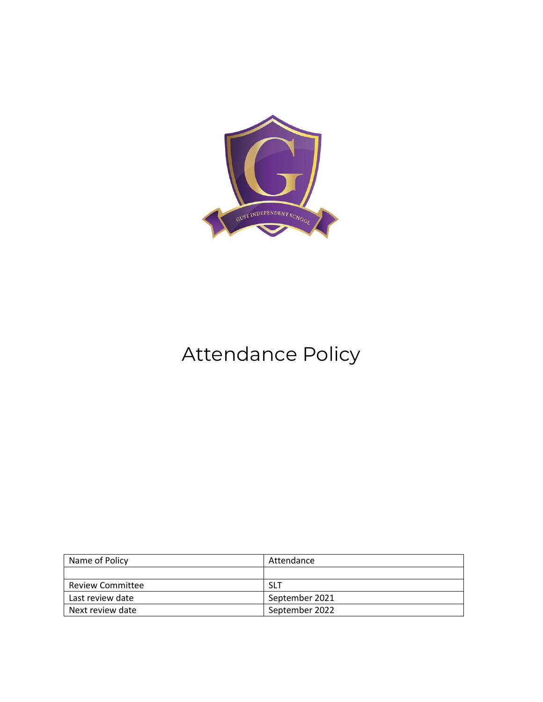

# Attendance Policy

| Name of Policy          | Attendance     |
|-------------------------|----------------|
|                         |                |
| <b>Review Committee</b> | <b>SLT</b>     |
| Last review date        | September 2021 |
| Next review date        | September 2022 |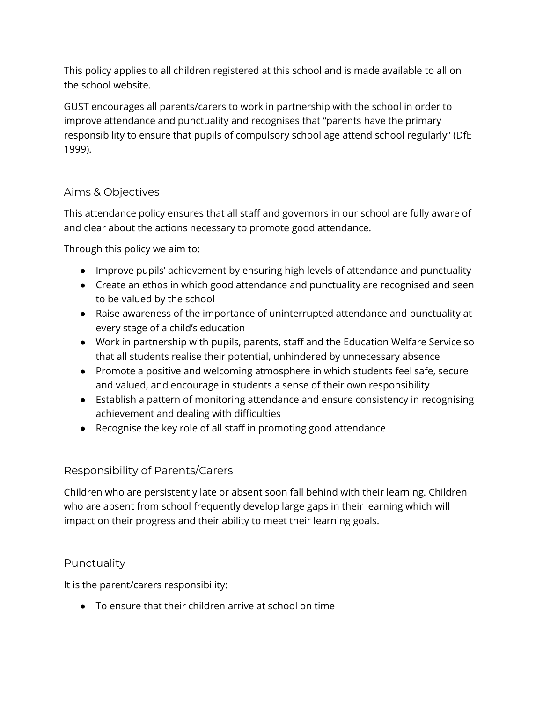This policy applies to all children registered at this school and is made available to all on the school website.

GUST encourages all parents/carers to work in partnership with the school in order to improve attendance and punctuality and recognises that "parents have the primary responsibility to ensure that pupils of compulsory school age attend school regularly" (DfE 1999).

## Aims & Objectives

This attendance policy ensures that all staff and governors in our school are fully aware of and clear about the actions necessary to promote good attendance.

Through this policy we aim to:

- Improve pupils' achievement by ensuring high levels of attendance and punctuality
- Create an ethos in which good attendance and punctuality are recognised and seen to be valued by the school
- Raise awareness of the importance of uninterrupted attendance and punctuality at every stage of a child's education
- Work in partnership with pupils, parents, staff and the Education Welfare Service so that all students realise their potential, unhindered by unnecessary absence
- Promote a positive and welcoming atmosphere in which students feel safe, secure and valued, and encourage in students a sense of their own responsibility
- Establish a pattern of monitoring attendance and ensure consistency in recognising achievement and dealing with difficulties
- Recognise the key role of all staff in promoting good attendance

#### Responsibility of Parents/Carers

Children who are persistently late or absent soon fall behind with their learning. Children who are absent from school frequently develop large gaps in their learning which will impact on their progress and their ability to meet their learning goals.

#### **Punctuality**

It is the parent/carers responsibility:

● To ensure that their children arrive at school on time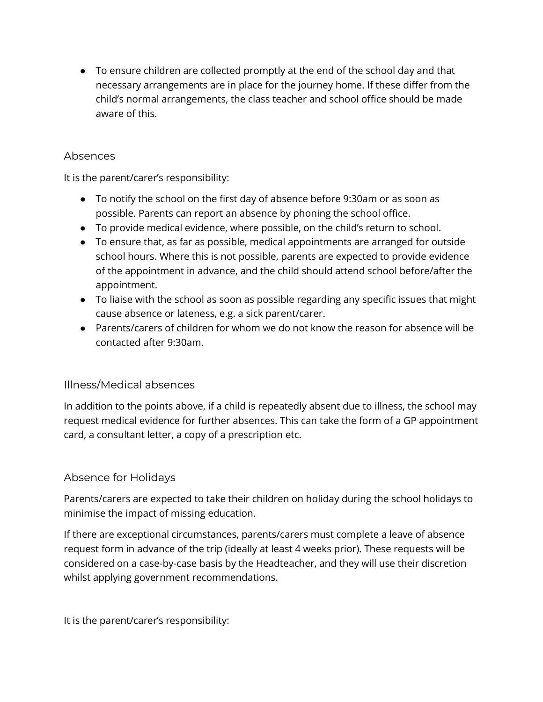● To ensure children are collected promptly at the end of the school day and that necessary arrangements are in place for the journey home. If these differ from the child's normal arrangements, the class teacher and school office should be made aware of this.

### Absences

It is the parent/carer's responsibility:

- To notify the school on the first day of absence before 9:30am or as soon as possible. Parents can report an absence by phoning the school office.
- To provide medical evidence, where possible, on the child's return to school.
- To ensure that, as far as possible, medical appointments are arranged for outside school hours. Where this is not possible, parents are expected to provide evidence of the appointment in advance, and the child should attend school before/after the appointment.
- To liaise with the school as soon as possible regarding any specific issues that might cause absence or lateness, e.g. a sick parent/carer.
- Parents/carers of children for whom we do not know the reason for absence will be contacted after 9:30am.

## Illness/Medical absences

In addition to the points above, if a child is repeatedly absent due to illness, the school may request medical evidence for further absences. This can take the form of a GP appointment card, a consultant letter, a copy of a prescription etc.

## Absence for Holidays

Parents/carers are expected to take their children on holiday during the school holidays to minimise the impact of missing education.

If there are exceptional circumstances, parents/carers must complete a leave of absence request form in advance of the trip (ideally at least 4 weeks prior). These requests will be considered on a case-by-case basis by the Headteacher, and they will use their discretion whilst applying government recommendations.

It is the parent/carer's responsibility: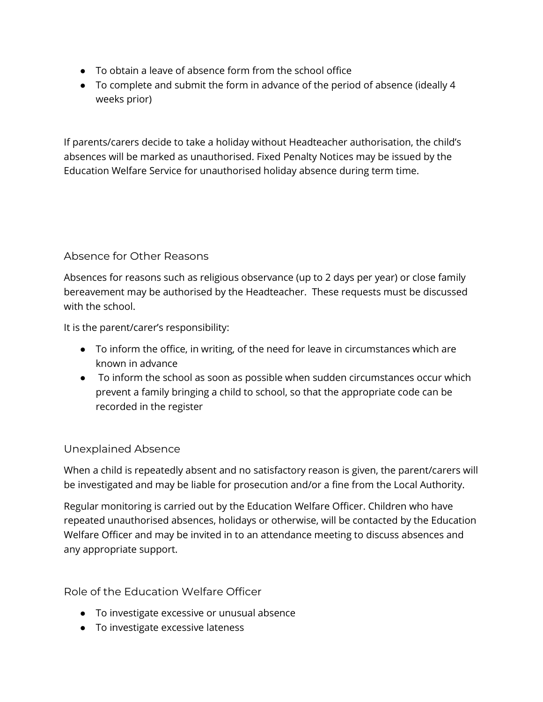- To obtain a leave of absence form from the school office
- To complete and submit the form in advance of the period of absence (ideally 4 weeks prior)

If parents/carers decide to take a holiday without Headteacher authorisation, the child's absences will be marked as unauthorised. Fixed Penalty Notices may be issued by the Education Welfare Service for unauthorised holiday absence during term time.

## Absence for Other Reasons

Absences for reasons such as religious observance (up to 2 days per year) or close family bereavement may be authorised by the Headteacher. These requests must be discussed with the school.

It is the parent/carer's responsibility:

- To inform the office, in writing, of the need for leave in circumstances which are known in advance
- To inform the school as soon as possible when sudden circumstances occur which prevent a family bringing a child to school, so that the appropriate code can be recorded in the register

## Unexplained Absence

When a child is repeatedly absent and no satisfactory reason is given, the parent/carers will be investigated and may be liable for prosecution and/or a fine from the Local Authority.

Regular monitoring is carried out by the Education Welfare Officer. Children who have repeated unauthorised absences, holidays or otherwise, will be contacted by the Education Welfare Officer and may be invited in to an attendance meeting to discuss absences and any appropriate support.

Role of the Education Welfare Officer

- To investigate excessive or unusual absence
- To investigate excessive lateness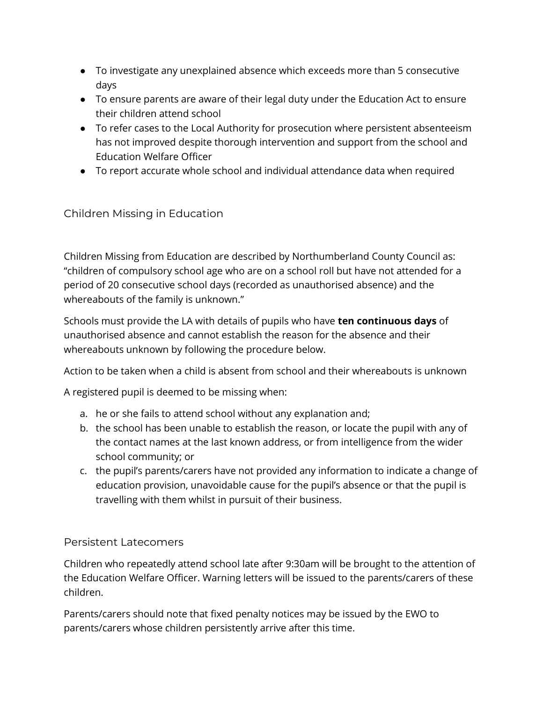- To investigate any unexplained absence which exceeds more than 5 consecutive days
- To ensure parents are aware of their legal duty under the Education Act to ensure their children attend school
- To refer cases to the Local Authority for prosecution where persistent absenteeism has not improved despite thorough intervention and support from the school and Education Welfare Officer
- To report accurate whole school and individual attendance data when required

# Children Missing in Education

Children Missing from Education are described by Northumberland County Council as: "children of compulsory school age who are on a school roll but have not attended for a period of 20 consecutive school days (recorded as unauthorised absence) and the whereabouts of the family is unknown."

Schools must provide the LA with details of pupils who have **ten continuous days** of unauthorised absence and cannot establish the reason for the absence and their whereabouts unknown by following the procedure below.

Action to be taken when a child is absent from school and their whereabouts is unknown

A registered pupil is deemed to be missing when:

- a. he or she fails to attend school without any explanation and;
- b. the school has been unable to establish the reason, or locate the pupil with any of the contact names at the last known address, or from intelligence from the wider school community; or
- c. the pupil's parents/carers have not provided any information to indicate a change of education provision, unavoidable cause for the pupil's absence or that the pupil is travelling with them whilst in pursuit of their business.

#### Persistent Latecomers

Children who repeatedly attend school late after 9:30am will be brought to the attention of the Education Welfare Officer. Warning letters will be issued to the parents/carers of these children.

Parents/carers should note that fixed penalty notices may be issued by the EWO to parents/carers whose children persistently arrive after this time.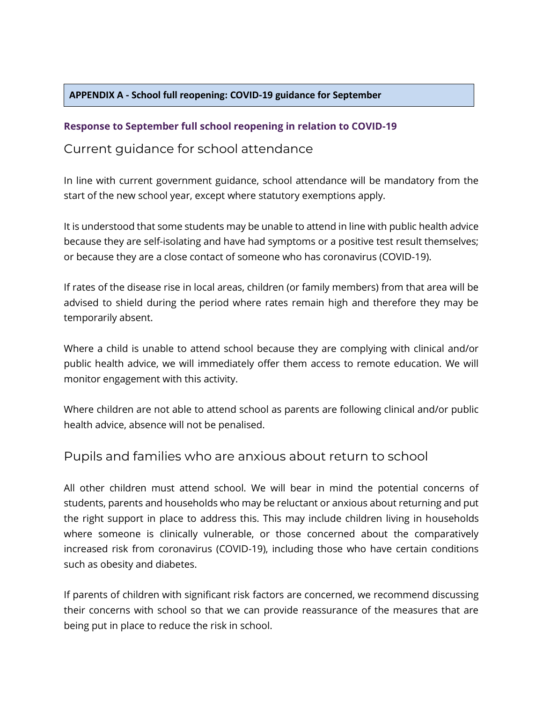#### **APPENDIX A - School full reopening: COVID-19 guidance for September**

#### **Response to September full school reopening in relation to COVID-19**

## Current guidance for school attendance

In line with current government guidance, school attendance will be mandatory from the start of the new school year, except where statutory exemptions apply.

It is understood that some students may be unable to attend in line with public health advice because they are self-isolating and have had symptoms or a positive test result themselves; or because they are a close contact of someone who has coronavirus (COVID-19).

If rates of the disease rise in local areas, children (or family members) from that area will be advised to shield during the period where rates remain high and therefore they may be temporarily absent.

Where a child is unable to attend school because they are complying with clinical and/or public health advice, we will immediately offer them access to remote education. We will monitor engagement with this activity.

Where children are not able to attend school as parents are following clinical and/or public health advice, absence will not be penalised.

# Pupils and families who are anxious about return to school

All other children must attend school. We will bear in mind the potential concerns of students, parents and households who may be reluctant or anxious about returning and put the right support in place to address this. This may include children living in households where someone is clinically vulnerable, or those concerned about the comparatively increased risk from coronavirus (COVID-19), including those who have certain conditions such as obesity and diabetes.

If parents of children with significant risk factors are concerned, we recommend discussing their concerns with school so that we can provide reassurance of the measures that are being put in place to reduce the risk in school.